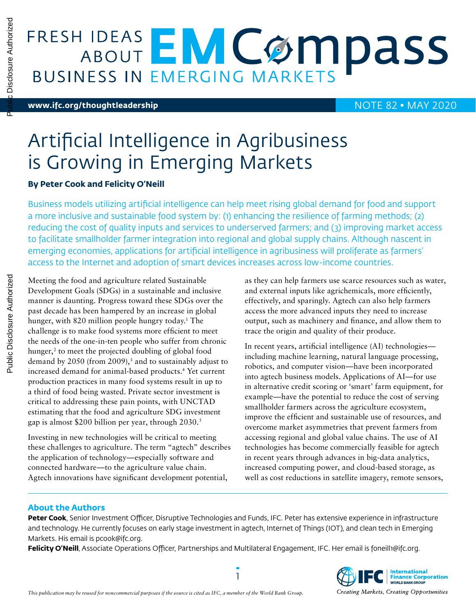$\overline{\mathbf{r}}$ 

# **FRESH IDEAS EMCOMPASS**

### **[www.ifc.org/thoughtleadership](http://www.ifc.org/thoughtleadership)** NOTE 82 • MAY 2020

## Artificial Intelligence in Agribusiness is Growing in Emerging Markets

#### **By Peter Cook and Felicity O'Neill**

Business models utilizing artificial intelligence can help meet rising global demand for food and support a more inclusive and sustainable food system by: (1) enhancing the resilience of farming methods; (2) reducing the cost of quality inputs and services to underserved farmers; and (3) improving market access to facilitate smallholder farmer integration into regional and global supply chains. Although nascent in emerging economies, applications for artificial intelligence in agribusiness will proliferate as farmers' access to the Internet and adoption of smart devices increases across low-income countries.

Meeting the food and agriculture related Sustainable Development Goals (SDGs) in a sustainable and inclusive manner is daunting. Progress toward these SDGs over the past decade has been hampered by an increase in global hunger, with 820 million people hungry today.1 The challenge is to make food systems more efficient to meet the needs of the one-in-ten people who suffer from chronic hunger,<sup>2</sup> to meet the projected doubling of global food demand by 2050 (from 2009),<sup>3</sup> and to sustainably adjust to increased demand for animal-based products.4 Yet current production practices in many food systems result in up to a third of food being wasted. Private sector investment is critical to addressing these pain points, with UNCTAD estimating that the food and agriculture SDG investment gap is almost \$200 billion per year, through 2030.5

Investing in new technologies will be critical to meeting these challenges to agriculture. The term "agtech" describes the application of technology—especially software and connected hardware—to the agriculture value chain. Agtech innovations have significant development potential,

as they can help farmers use scarce resources such as water, and external inputs like agrichemicals, more efficiently, effectively, and sparingly. Agtech can also help farmers access the more advanced inputs they need to increase output, such as machinery and finance, and allow them to trace the origin and quality of their produce.

In recent years, artificial intelligence (AI) technologies including machine learning, natural language processing, robotics, and computer vision—have been incorporated into agtech business models. Applications of AI—for use in alternative credit scoring or 'smart' farm equipment, for example—have the potential to reduce the cost of serving smallholder farmers across the agriculture ecosystem, improve the efficient and sustainable use of resources, and overcome market asymmetries that prevent farmers from accessing regional and global value chains. The use of AI technologies has become commercially feasible for agtech in recent years through advances in big-data analytics, increased computing power, and cloud-based storage, as well as cost reductions in satellite imagery, remote sensors,

#### **About the Authors**

**Peter Cook**, Senior Investment Officer, Disruptive Technologies and Funds, IFC. Peter has extensive experience in infrastructure and technology. He currently focuses on early stage investment in agtech, Internet of Things (IOT), and clean tech in Emerging Markets. His email is pcook@ifc.org.

1

Felicity O'Neill, Associate Operations Officer, Partnerships and Multilateral Engagement, IFC. Her email is foneill1@ifc.org.

Public Disclosure Authorized

Public Disclosure Authorized

**International<br>Finance Corporation**<br>WORLD BANK GROUP Creating Markets, Creating Opportunities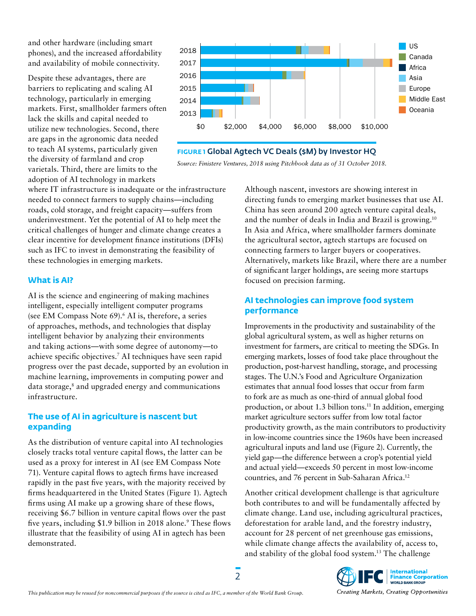and other hardware (including smart phones), and the increased affordability and availability of mobile connectivity.

Despite these advantages, there are barriers to replicating and scaling AI technology, particularly in emerging markets. First, smallholder farmers often lack the skills and capital needed to utilize new technologies. Second, there are gaps in the agronomic data needed to teach AI systems, particularly given the diversity of farmland and crop varietals. Third, there are limits to the adoption of AI technology in markets



**FIGURE 1** Global Agtech VC Deals (\$M) by Investor HQ



where IT infrastructure is inadequate or the infrastructure needed to connect farmers to supply chains—including roads, cold storage, and freight capacity—suffers from underinvestment. Yet the potential of AI to help meet the critical challenges of hunger and climate change creates a clear incentive for development finance institutions (DFIs) such as IFC to invest in demonstrating the feasibility of these technologies in emerging markets.

#### **What is AI?**

AI is the science and engineering of making machines intelligent, especially intelligent computer programs (see EM Compass Note 69).<sup>6</sup> AI is, therefore, a series of approaches, methods, and technologies that display intelligent behavior by analyzing their environments and taking actions—with some degree of autonomy—to achieve specific objectives.7 AI techniques have seen rapid progress over the past decade, supported by an evolution in machine learning, improvements in computing power and data storage,<sup>8</sup> and upgraded energy and communications infrastructure.

#### **The use of AI in agriculture is nascent but expanding**

As the distribution of venture capital into AI technologies closely tracks total venture capital flows, the latter can be used as a proxy for interest in AI (see EM Compass Note 71). Venture capital flows to agtech firms have increased rapidly in the past five years, with the majority received by firms headquartered in the United States (Figure 1). Agtech firms using AI make up a growing share of these flows, receiving \$6.7 billion in venture capital flows over the past five years, including \$1.9 billion in 2018 alone.<sup>9</sup> These flows illustrate that the feasibility of using AI in agtech has been demonstrated.

Although nascent, investors are showing interest in directing funds to emerging market businesses that use AI. China has seen around 200 agtech venture capital deals, and the number of deals in India and Brazil is growing.10 In Asia and Africa, where smallholder farmers dominate the agricultural sector, agtech startups are focused on connecting farmers to larger buyers or cooperatives. Alternatively, markets like Brazil, where there are a number of significant larger holdings, are seeing more startups focused on precision farming.

#### **AI technologies can improve food system performance**

Improvements in the productivity and sustainability of the global agricultural system, as well as higher returns on investment for farmers, are critical to meeting the SDGs. In emerging markets, losses of food take place throughout the production, post-harvest handling, storage, and processing stages. The U.N.'s Food and Agriculture Organization estimates that annual food losses that occur from farm to fork are as much as one-third of annual global food production, or about 1.3 billion tons.<sup>11</sup> In addition, emerging market agriculture sectors suffer from low total factor productivity growth, as the main contributors to productivity in low-income countries since the 1960s have been increased agricultural inputs and land use (Figure 2). Currently, the yield gap—the difference between a crop's potential yield and actual yield—exceeds 50 percent in most low-income countries, and 76 percent in Sub-Saharan Africa.12

Another critical development challenge is that agriculture both contributes to and will be fundamentally affected by climate change. Land use, including agricultural practices, deforestation for arable land, and the forestry industry, account for 28 percent of net greenhouse gas emissions, while climate change affects the availability of, access to, and stability of the global food system.13 The challenge

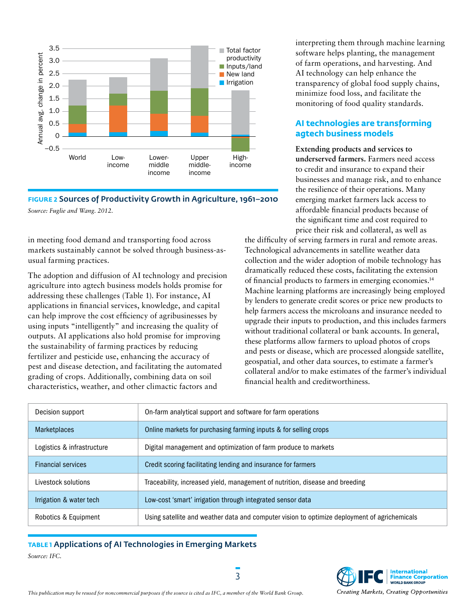

**FIGURE 2** Sources of Productivity Growth in Agriculture, 1961–2010 *Source: Fuglie and Wang. 2012.*

in meeting food demand and transporting food across markets sustainably cannot be solved through business-asusual farming practices.

The adoption and diffusion of AI technology and precision agriculture into agtech business models holds promise for addressing these challenges (Table 1). For instance, AI applications in financial services, knowledge, and capital can help improve the cost efficiency of agribusinesses by using inputs "intelligently" and increasing the quality of outputs. AI applications also hold promise for improving the sustainability of farming practices by reducing fertilizer and pesticide use, enhancing the accuracy of pest and disease detection, and facilitating the automated grading of crops. Additionally, combining data on soil characteristics, weather, and other climactic factors and

interpreting them through machine learning software helps planting, the management of farm operations, and harvesting. And AI technology can help enhance the transparency of global food supply chains, minimize food loss, and facilitate the monitoring of food quality standards.

#### **AI technologies are transforming agtech business models**

**Extending products and services to underserved farmers.** Farmers need access to credit and insurance to expand their businesses and manage risk, and to enhance the resilience of their operations. Many emerging market farmers lack access to affordable financial products because of the significant time and cost required to price their risk and collateral, as well as

the difficulty of serving farmers in rural and remote areas. Technological advancements in satellite weather data collection and the wider adoption of mobile technology has dramatically reduced these costs, facilitating the extension of financial products to farmers in emerging economies.14 Machine learning platforms are increasingly being employed by lenders to generate credit scores or price new products to help farmers access the microloans and insurance needed to upgrade their inputs to production, and this includes farmers without traditional collateral or bank accounts. In general, these platforms allow farmers to upload photos of crops and pests or disease, which are processed alongside satellite, geospatial, and other data sources, to estimate a farmer's collateral and/or to make estimates of the farmer's individual financial health and creditworthiness.

| Decision support           | On-farm analytical support and software for farm operations                                  |
|----------------------------|----------------------------------------------------------------------------------------------|
| <b>Marketplaces</b>        | Online markets for purchasing farming inputs & for selling crops                             |
| Logistics & infrastructure | Digital management and optimization of farm produce to markets                               |
| <b>Financial services</b>  | Credit scoring facilitating lending and insurance for farmers                                |
| Livestock solutions        | Traceability, increased yield, management of nutrition, disease and breeding                 |
| Irrigation & water tech    | Low-cost 'smart' irrigation through integrated sensor data                                   |
| Robotics & Equipment       | Using satellite and weather data and computer vision to optimize deployment of agrichemicals |

**TABLE 1** Applications of AI Technologies in Emerging Markets *Source: IFC.*



*This publication may be reused for noncommercial purposes if the source is cited as IFC, a member of the World Bank Group.*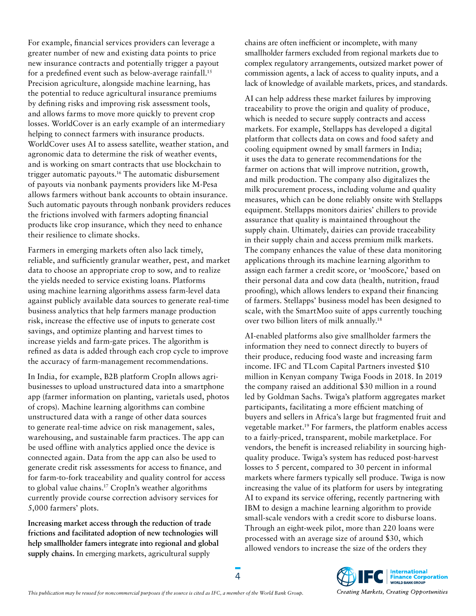For example, financial services providers can leverage a greater number of new and existing data points to price new insurance contracts and potentially trigger a payout for a predefined event such as below-average rainfall.<sup>15</sup> Precision agriculture, alongside machine learning, has the potential to reduce agricultural insurance premiums by defining risks and improving risk assessment tools, and allows farms to move more quickly to prevent crop losses. WorldCover is an early example of an intermediary helping to connect farmers with insurance products. WorldCover uses AI to assess satellite, weather station, and agronomic data to determine the risk of weather events, and is working on smart contracts that use blockchain to trigger automatic payouts.16 The automatic disbursement of payouts via nonbank payments providers like M-Pesa allows farmers without bank accounts to obtain insurance. Such automatic payouts through nonbank providers reduces the frictions involved with farmers adopting financial products like crop insurance, which they need to enhance their resilience to climate shocks.

Farmers in emerging markets often also lack timely, reliable, and sufficiently granular weather, pest, and market data to choose an appropriate crop to sow, and to realize the yields needed to service existing loans. Platforms using machine learning algorithms assess farm-level data against publicly available data sources to generate real-time business analytics that help farmers manage production risk, increase the effective use of inputs to generate cost savings, and optimize planting and harvest times to increase yields and farm-gate prices. The algorithm is refined as data is added through each crop cycle to improve the accuracy of farm-management recommendations.

In India, for example, B2B platform CropIn allows agribusinesses to upload unstructured data into a smartphone app (farmer information on planting, varietals used, photos of crops). Machine learning algorithms can combine unstructured data with a range of other data sources to generate real-time advice on risk management, sales, warehousing, and sustainable farm practices. The app can be used offline with analytics applied once the device is connected again. Data from the app can also be used to generate credit risk assessments for access to finance, and for farm-to-fork traceability and quality control for access to global value chains.17 CropIn's weather algorithms currently provide course correction advisory services for 5,000 farmers' plots.

**Increasing market access through the reduction of trade frictions and facilitated adoption of new technologies will help smallholder famers integrate into regional and global supply chains.** In emerging markets, agricultural supply

chains are often inefficient or incomplete, with many smallholder farmers excluded from regional markets due to complex regulatory arrangements, outsized market power of commission agents, a lack of access to quality inputs, and a lack of knowledge of available markets, prices, and standards.

AI can help address these market failures by improving traceability to prove the origin and quality of produce, which is needed to secure supply contracts and access markets. For example, Stellapps has developed a digital platform that collects data on cows and food safety and cooling equipment owned by small farmers in India; it uses the data to generate recommendations for the farmer on actions that will improve nutrition, growth, and milk production. The company also digitalizes the milk procurement process, including volume and quality measures, which can be done reliably onsite with Stellapps equipment. Stellapps monitors dairies' chillers to provide assurance that quality is maintained throughout the supply chain. Ultimately, dairies can provide traceability in their supply chain and access premium milk markets. The company enhances the value of these data monitoring applications through its machine learning algorithm to assign each farmer a credit score, or 'mooScore,' based on their personal data and cow data (health, nutrition, fraud proofing), which allows lenders to expand their financing of farmers. Stellapps' business model has been designed to scale, with the SmartMoo suite of apps currently touching over two billion liters of milk annually.18

AI-enabled platforms also give smallholder farmers the information they need to connect directly to buyers of their produce, reducing food waste and increasing farm income. IFC and TLcom Capital Partners invested \$10 million in Kenyan company Twiga Foods in 2018. In 2019 the company raised an additional \$30 million in a round led by Goldman Sachs. Twiga's platform aggregates market participants, facilitating a more efficient matching of buyers and sellers in Africa's large but fragmented fruit and vegetable market.19 For farmers, the platform enables access to a fairly-priced, transparent, mobile marketplace. For vendors, the benefit is increased reliability in sourcing highquality produce. Twiga's system has reduced post-harvest losses to 5 percent, compared to 30 percent in informal markets where farmers typically sell produce. Twiga is now increasing the value of its platform for users by integrating AI to expand its service offering, recently partnering with IBM to design a machine learning algorithm to provide small-scale vendors with a credit score to disburse loans. Through an eight-week pilot, more than 220 loans were processed with an average size of around \$30, which allowed vendors to increase the size of the orders they

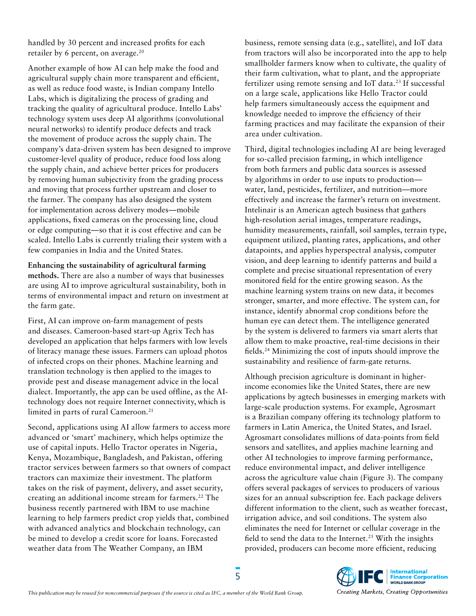handled by 30 percent and increased profits for each retailer by 6 percent, on average.<sup>20</sup>

Another example of how AI can help make the food and agricultural supply chain more transparent and efficient, as well as reduce food waste, is Indian company Intello Labs, which is digitalizing the process of grading and tracking the quality of agricultural produce. Intello Labs' technology system uses deep AI algorithms (convolutional neural networks) to identify produce defects and track the movement of produce across the supply chain. The company's data-driven system has been designed to improve customer-level quality of produce, reduce food loss along the supply chain, and achieve better prices for producers by removing human subjectivity from the grading process and moving that process further upstream and closer to the farmer. The company has also designed the system for implementation across delivery modes—mobile applications, fixed cameras on the processing line, cloud or edge computing—so that it is cost effective and can be scaled. Intello Labs is currently trialing their system with a few companies in India and the United States.

**Enhancing the sustainability of agricultural farming methods.** There are also a number of ways that businesses are using AI to improve agricultural sustainability, both in terms of environmental impact and return on investment at the farm gate.

First, AI can improve on-farm management of pests and diseases. Cameroon-based start-up Agrix Tech has developed an application that helps farmers with low levels of literacy manage these issues. Farmers can upload photos of infected crops on their phones. Machine learning and translation technology is then applied to the images to provide pest and disease management advice in the local dialect. Importantly, the app can be used offline, as the AItechnology does not require Internet connectivity, which is limited in parts of rural Cameroon.<sup>21</sup>

Second, applications using AI allow farmers to access more advanced or 'smart' machinery, which helps optimize the use of capital inputs. Hello Tractor operates in Nigeria, Kenya, Mozambique, Bangladesh, and Pakistan, offering tractor services between farmers so that owners of compact tractors can maximize their investment. The platform takes on the risk of payment, delivery, and asset security, creating an additional income stream for farmers.<sup>22</sup> The business recently partnered with IBM to use machine learning to help farmers predict crop yields that, combined with advanced analytics and blockchain technology, can be mined to develop a credit score for loans. Forecasted weather data from The Weather Company, an IBM

business, remote sensing data (e.g., satellite), and IoT data from tractors will also be incorporated into the app to help smallholder farmers know when to cultivate, the quality of their farm cultivation, what to plant, and the appropriate fertilizer using remote sensing and IoT data.23 If successful on a large scale, applications like Hello Tractor could help farmers simultaneously access the equipment and knowledge needed to improve the efficiency of their farming practices and may facilitate the expansion of their area under cultivation.

Third, digital technologies including AI are being leveraged for so-called precision farming, in which intelligence from both farmers and public data sources is assessed by algorithms in order to use inputs to production water, land, pesticides, fertilizer, and nutrition—more effectively and increase the farmer's return on investment. Intelinair is an American agtech business that gathers high-resolution aerial images, temperature readings, humidity measurements, rainfall, soil samples, terrain type, equipment utilized, planting rates, applications, and other datapoints, and applies hyperspectral analysis, computer vision, and deep learning to identify patterns and build a complete and precise situational representation of every monitored field for the entire growing season. As the machine learning system trains on new data, it becomes stronger, smarter, and more effective. The system can, for instance, identify abnormal crop conditions before the human eye can detect them. The intelligence generated by the system is delivered to farmers via smart alerts that allow them to make proactive, real-time decisions in their fields.24 Minimizing the cost of inputs should improve the sustainability and resilience of farm-gate returns.

Although precision agriculture is dominant in higherincome economies like the United States, there are new applications by agtech businesses in emerging markets with large-scale production systems. For example, Agrosmart is a Brazilian company offering its technology platform to farmers in Latin America, the United States, and Israel. Agrosmart consolidates millions of data-points from field sensors and satellites, and applies machine learning and other AI technologies to improve farming performance, reduce environmental impact, and deliver intelligence across the agriculture value chain (Figure 3). The company offers several packages of services to producers of various sizes for an annual subscription fee. Each package delivers different information to the client, such as weather forecast, irrigation advice, and soil conditions. The system also eliminates the need for Internet or cellular coverage in the field to send the data to the Internet.<sup>25</sup> With the insights provided, producers can become more efficient, reducing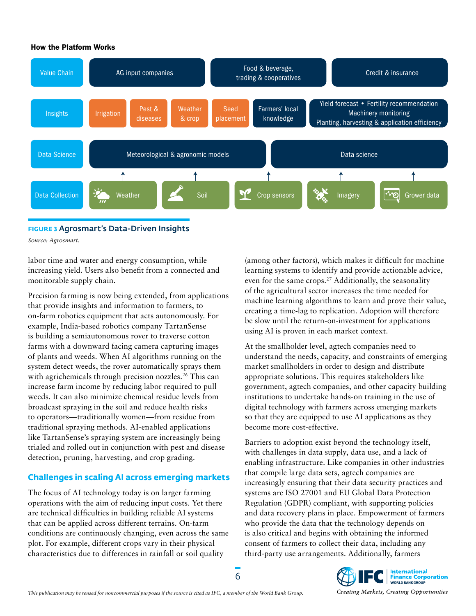#### How the Platform Works



**FIGURE 3** Agrosmart's Data-Driven Insights

*Source: Agrosmart.*

labor time and water and energy consumption, while increasing yield. Users also benefit from a connected and monitorable supply chain.

Precision farming is now being extended, from applications that provide insights and information to farmers, to on-farm robotics equipment that acts autonomously. For example, India-based robotics company TartanSense is building a semiautonomous rover to traverse cotton farms with a downward facing camera capturing images of plants and weeds. When AI algorithms running on the system detect weeds, the rover automatically sprays them with agrichemicals through precision nozzles.<sup>26</sup> This can increase farm income by reducing labor required to pull weeds. It can also minimize chemical residue levels from broadcast spraying in the soil and reduce health risks to operators—traditionally women—from residue from traditional spraying methods. AI-enabled applications like TartanSense's spraying system are increasingly being trialed and rolled out in conjunction with pest and disease detection, pruning, harvesting, and crop grading.

#### **Challenges in scaling AI across emerging markets**

The focus of AI technology today is on larger farming operations with the aim of reducing input costs. Yet there are technical difficulties in building reliable AI systems that can be applied across different terrains. On-farm conditions are continuously changing, even across the same plot. For example, different crops vary in their physical characteristics due to differences in rainfall or soil quality

(among other factors), which makes it difficult for machine learning systems to identify and provide actionable advice, even for the same crops.<sup>27</sup> Additionally, the seasonality of the agricultural sector increases the time needed for machine learning algorithms to learn and prove their value, creating a time-lag to replication. Adoption will therefore be slow until the return-on-investment for applications using AI is proven in each market context.

At the smallholder level, agtech companies need to understand the needs, capacity, and constraints of emerging market smallholders in order to design and distribute appropriate solutions. This requires stakeholders like government, agtech companies, and other capacity building institutions to undertake hands-on training in the use of digital technology with farmers across emerging markets so that they are equipped to use AI applications as they become more cost-effective.

Barriers to adoption exist beyond the technology itself, with challenges in data supply, data use, and a lack of enabling infrastructure. Like companies in other industries that compile large data sets, agtech companies are increasingly ensuring that their data security practices and systems are ISO 27001 and EU Global Data Protection Regulation (GDPR) compliant, with supporting policies and data recovery plans in place. Empowerment of farmers who provide the data that the technology depends on is also critical and begins with obtaining the informed consent of farmers to collect their data, including any third-party use arrangements. Additionally, farmers

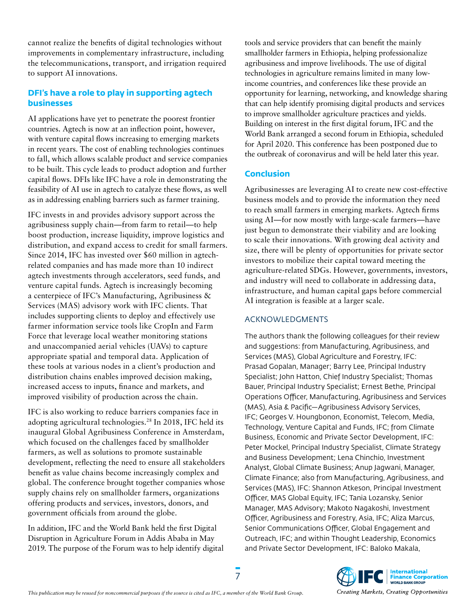cannot realize the benefits of digital technologies without improvements in complementary infrastructure, including the telecommunications, transport, and irrigation required to support AI innovations.

#### **DFI's have a role to play in supporting agtech businesses**

AI applications have yet to penetrate the poorest frontier countries. Agtech is now at an inflection point, however, with venture capital flows increasing to emerging markets in recent years. The cost of enabling technologies continues to fall, which allows scalable product and service companies to be built. This cycle leads to product adoption and further capital flows. DFIs like IFC have a role in demonstrating the feasibility of AI use in agtech to catalyze these flows, as well as in addressing enabling barriers such as farmer training.

IFC invests in and provides advisory support across the agribusiness supply chain—from farm to retail—to help boost production, increase liquidity, improve logistics and distribution, and expand access to credit for small farmers. Since 2014, IFC has invested over \$60 million in agtechrelated companies and has made more than 10 indirect agtech investments through accelerators, seed funds, and venture capital funds. Agtech is increasingly becoming a centerpiece of IFC's Manufacturing, Agribusiness & Services (MAS) advisory work with IFC clients. That includes supporting clients to deploy and effectively use farmer information service tools like CropIn and Farm Force that leverage local weather monitoring stations and unaccompanied aerial vehicles (UAVs) to capture appropriate spatial and temporal data. Application of these tools at various nodes in a client's production and distribution chains enables improved decision making, increased access to inputs, finance and markets, and improved visibility of production across the chain.

IFC is also working to reduce barriers companies face in adopting agricultural technologies.28 In 2018, IFC held its inaugural Global Agribusiness Conference in Amsterdam, which focused on the challenges faced by smallholder farmers, as well as solutions to promote sustainable development, reflecting the need to ensure all stakeholders benefit as value chains become increasingly complex and global. The conference brought together companies whose supply chains rely on smallholder farmers, organizations offering products and services, investors, donors, and government officials from around the globe.

In addition, IFC and the World Bank held the first Digital Disruption in Agriculture Forum in Addis Ababa in May 2019. The purpose of the Forum was to help identify digital tools and service providers that can benefit the mainly smallholder farmers in Ethiopia, helping professionalize agribusiness and improve livelihoods. The use of digital technologies in agriculture remains limited in many lowincome countries, and conferences like these provide an opportunity for learning, networking, and knowledge sharing that can help identify promising digital products and services to improve smallholder agriculture practices and yields. Building on interest in the first digital forum, IFC and the World Bank arranged a second forum in Ethiopia, scheduled for April 2020. This conference has been postponed due to the outbreak of coronavirus and will be held later this year.

#### **Conclusion**

Agribusinesses are leveraging AI to create new cost-effective business models and to provide the information they need to reach small farmers in emerging markets. Agtech firms using AI—for now mostly with large-scale farmers—have just begun to demonstrate their viability and are looking to scale their innovations. With growing deal activity and size, there will be plenty of opportunities for private sector investors to mobilize their capital toward meeting the agriculture-related SDGs. However, governments, investors, and industry will need to collaborate in addressing data, infrastructure, and human capital gaps before commercial AI integration is feasible at a larger scale.

#### ACKNOWLEDGMENTS

The authors thank the following colleagues for their review and suggestions: from Manufacturing, Agribusiness, and Services (MAS), Global Agriculture and Forestry, IFC: Prasad Gopalan, Manager; Barry Lee, Principal Industry Specialist; John Hatton, Chief Industry Specialist; Thomas Bauer, Principal Industry Specialist; Ernest Bethe, Principal Operations Officer, Manufacturing, Agribusiness and Services (MAS), Asia & Pacific—Agribusiness Advisory Services, IFC; Georges V. Houngbonon, Economist, Telecom, Media, Technology, Venture Capital and Funds, IFC; from Climate Business, Economic and Private Sector Development, IFC: Peter Mockel, Principal Industry Specialist, Climate Strategy and Business Development; Lena Chinchio, Investment Analyst, Global Climate Business; Anup Jagwani, Manager, Climate Finance; also from Manufacturing, Agribusiness, and Services (MAS), IFC: Shannon Atkeson, Principal Investment Officer, MAS Global Equity, IFC; Tania Lozansky, Senior Manager, MAS Advisory; Makoto Nagakoshi, Investment Officer, Agribusiness and Forestry, Asia, IFC; Aliza Marcus, Senior Communications Officer, Global Engagement and Outreach, IFC; and within Thought Leadership, Economics and Private Sector Development, IFC: Baloko Makala,